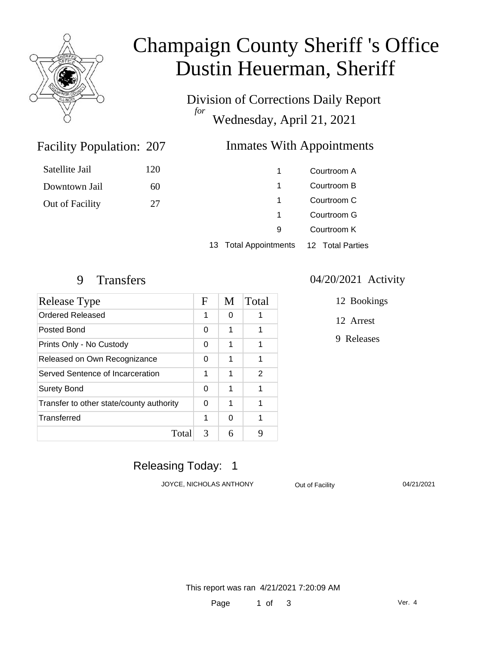

# Champaign County Sheriff 's Office Dustin Heuerman, Sheriff

Division of Corrections Daily Report *for* Wednesday, April 21, 2021

### Inmates With Appointments

| Satellite Jail  | 120 |                                  | Courtroom A      |
|-----------------|-----|----------------------------------|------------------|
| Downtown Jail   | 60  |                                  | Courtroom B      |
| Out of Facility | 27  |                                  | Courtroom C      |
|                 |     |                                  | Courtroom G      |
|                 |     | 9                                | Courtroom K      |
|                 |     | <b>Total Appointments</b><br>13. | 12 Total Parties |

Facility Population: 207

| Release Type                             |   | M | Total |
|------------------------------------------|---|---|-------|
| <b>Ordered Released</b>                  | 1 | 0 | 1     |
| Posted Bond                              | 0 | 1 | 1     |
| Prints Only - No Custody                 |   | 1 | 1     |
| Released on Own Recognizance             |   | 1 | 1     |
| Served Sentence of Incarceration         |   | 1 | 2     |
| <b>Surety Bond</b>                       |   | 1 | 1     |
| Transfer to other state/county authority |   | 1 | 1     |
| Transferred                              | 1 | 0 | 1     |
| Total                                    | 3 | 6 | 9     |

#### 9 Transfers 04/20/2021 Activity

- 12 Bookings
- 12 Arrest
- 9 Releases

### Releasing Today: 1

JOYCE, NICHOLAS ANTHONY **Out of Facility** 04/21/2021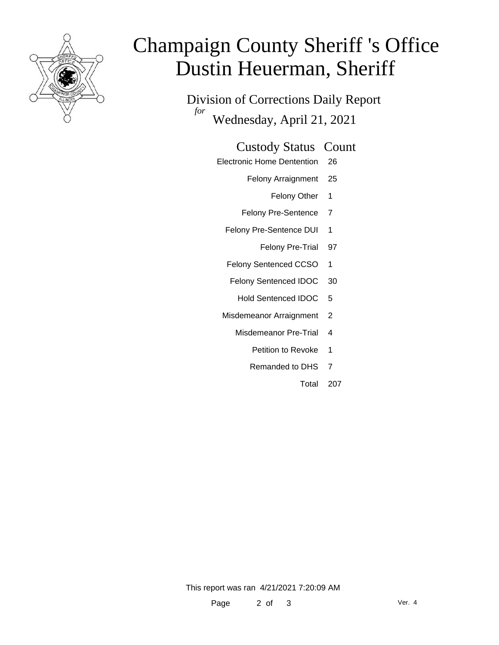

# Champaign County Sheriff 's Office Dustin Heuerman, Sheriff

Division of Corrections Daily Report *for* Wednesday, April 21, 2021

#### Custody Status Count

- Electronic Home Dentention 26
	- Felony Arraignment 25
		- Felony Other 1
	- Felony Pre-Sentence 7
	- Felony Pre-Sentence DUI 1
		- Felony Pre-Trial 97
	- Felony Sentenced CCSO 1
	- Felony Sentenced IDOC 30
		- Hold Sentenced IDOC 5
	- Misdemeanor Arraignment 2
		- Misdemeanor Pre-Trial 4
			- Petition to Revoke 1
			- Remanded to DHS 7
				- Total 207

This report was ran 4/21/2021 7:20:09 AM